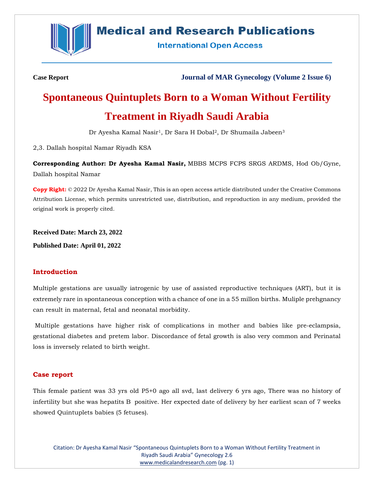

## **Medical and Research Publications**

**International Open Access** 

**Case Report Journal of MAR Gynecology (Volume 2 Issue 6)**

# **Spontaneous Quintuplets Born to a Woman Without Fertility Treatment in Riyadh Saudi Arabia**

Dr Ayesha Kamal Nasir<sup>1</sup>, Dr Sara H Dobal<sup>2</sup>, Dr Shumaila Jabeen<sup>3</sup>

2,3. Dallah hospital Namar Riyadh KSA

**Corresponding Author: Dr Ayesha Kamal Nasir,** MBBS MCPS FCPS SRGS ARDMS, Hod Ob/Gyne, Dallah hospital Namar

**Copy Right:** © 2022 Dr Ayesha Kamal Nasir, This is an open access article distributed under the Creative Commons Attribution License, which permits unrestricted use, distribution, and reproduction in any medium, provided the original work is properly cited.

**Received Date: March 23, 2022**

**Published Date: April 01, 2022**

### **Introduction**

Multiple gestations are usually iatrogenic by use of assisted reproductive techniques (ART), but it is extremely rare in spontaneous conception with a chance of one in a 55 millon births. Muliple prehgnancy can result in maternal, fetal and neonatal morbidity.

Multiple gestations have higher risk of complications in mother and babies like pre-eclampsia, gestational diabetes and pretem labor. Discordance of fetal growth is also very common and Perinatal loss is inversely related to birth weight.

### **Case report**

This female patient was 33 yrs old P5+0 ago all svd, last delivery 6 yrs ago, There was no history of infertility but she was hepatits B positive. Her expected date of delivery by her earliest scan of 7 weeks showed Quintuplets babies (5 fetuses).

Citation: Dr Ayesha Kamal Nasir "Spontaneous Quintuplets Born to a Woman Without Fertility Treatment in Riyadh Saudi Arabia" Gynecology 2.6 [www.medicalandresearch.com](http://www.medicalandresearch.com/) (pg. 1)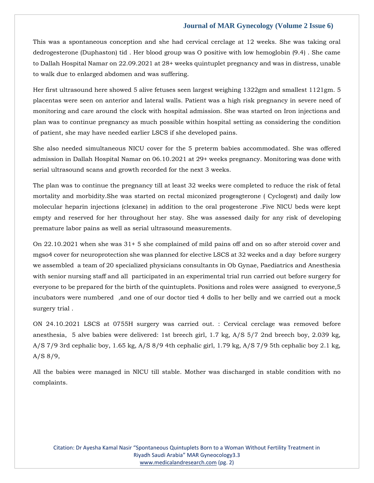### **Journal of MAR Gynecology (Volume 2 Issue 6)**

This was a spontaneous conception and she had cervical cerclage at 12 weeks. She was taking oral dedrogesterone (Duphaston) tid . Her blood group was O positive with low hemoglobin (9.4) . She came to Dallah Hospital Namar on 22.09.2021 at 28+ weeks quintuplet pregnancy and was in distress, unable to walk due to enlarged abdomen and was suffering.

Her first ultrasound here showed 5 alive fetuses seen largest weighing 1322gm and smallest 1121gm. 5 placentas were seen on anterior and lateral walls. Patient was a high risk pregnancy in severe need of monitoring and care around the clock with hospital admission. She was started on Iron injections and plan was to continue pregnancy as much possible within hospital setting as considering the condition of patient, she may have needed earlier LSCS if she developed pains.

She also needed simultaneous NICU cover for the 5 preterm babies accommodated. She was offered admission in Dallah Hospital Namar on 06.10.2021 at 29+ weeks pregnancy. Monitoring was done with serial ultrasound scans and growth recorded for the next 3 weeks.

The plan was to continue the pregnancy till at least 32 weeks were completed to reduce the risk of fetal mortality and morbidity.She was started on rectal miconized progesgterone ( Cyclogest) and daily low molecular heparin injections (clexane) in addition to the oral progesterone .Five NICU beds were kept empty and reserved for her throughout her stay. She was assessed daily for any risk of developing premature labor pains as well as serial ultrasound measurements.

On 22.10.2021 when she was 31+ 5 she complained of mild pains off and on so after steroid cover and mgso4 cover for neuroprotection she was planned for elective LSCS at 32 weeks and a day before surgery we assembled a team of 20 specialized physicians consultants in Ob Gynae, Paediatrics and Anesthesia with senior nursing staff and all participated in an experimental trial run carried out before surgery for everyone to be prepared for the birth of the quintuplets. Positions and roles were assigned to everyone,5 incubators were numbered ,and one of our doctor tied 4 dolls to her belly and we carried out a mock surgery trial .

ON 24.10.2021 LSCS at 0755H surgery was carried out. : Cervical cerclage was removed before anesthesia, 5 alve babies were delivered: 1st breech girl, 1.7 kg, A/S 5/7 2nd breech boy, 2.039 kg, A/S 7/9 3rd cephalic boy, 1.65 kg, A/S 8/9 4th cephalic girl, 1.79 kg, A/S 7/9 5th cephalic boy 2.1 kg, A/S 8/9,

All the babies were managed in NICU till stable. Mother was discharged in stable condition with no complaints.